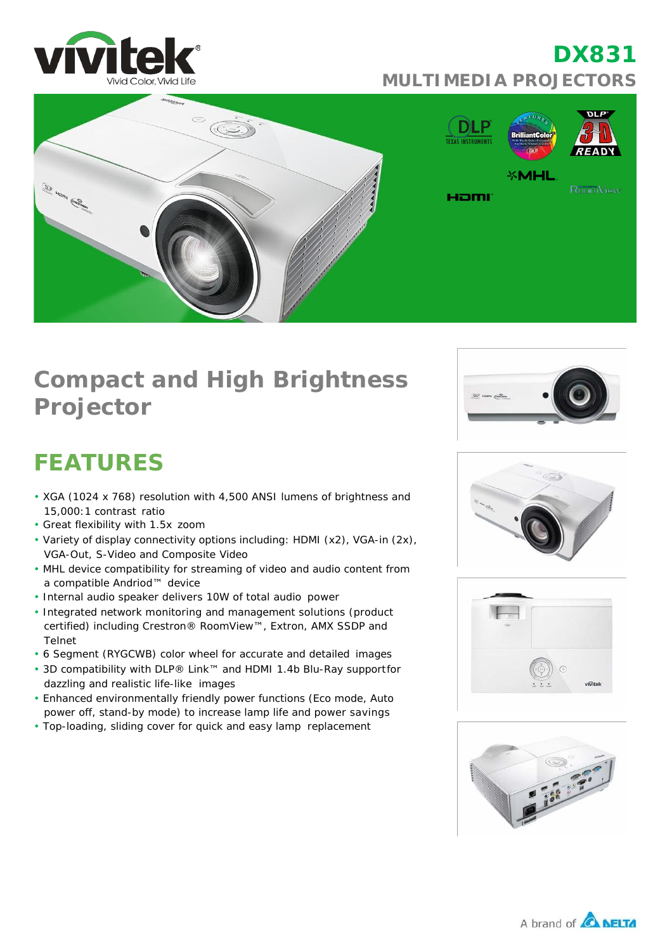

# **DX831 MULTIMEDIA PROJECTORS**



## **Compact and High Brightness Projector**

# **FEATURES**

- XGA (1024 x 768) resolution with 4,500 ANSI lumens of brightness and 15,000:1 contrast ratio
- Great flexibility with 1.5x zoom
- Variety of display connectivity options including: HDMI (x2), VGA-in (2x), VGA-Out, S-Video and Composite Video
- MHL device compatibility for streaming of video and audio content from a compatible Andriod™ device
- Internal audio speaker delivers 10W of total audio power
- Integrated network monitoring and management solutions (product certified) including Crestron® RoomView™, Extron, AMX SSDP and Telnet
- 6 Segment (RYGCWB) color wheel for accurate and detailed images
- 3D compatibility with DLP® Link™ and HDMI 1.4b Blu-Ray supportfor dazzling and realistic life-like images
- Enhanced environmentally friendly power functions (Eco mode, Auto power off, stand-by mode) to increase lamp life and power savings
- Top-loading, sliding cover for quick and easy lamp replacement